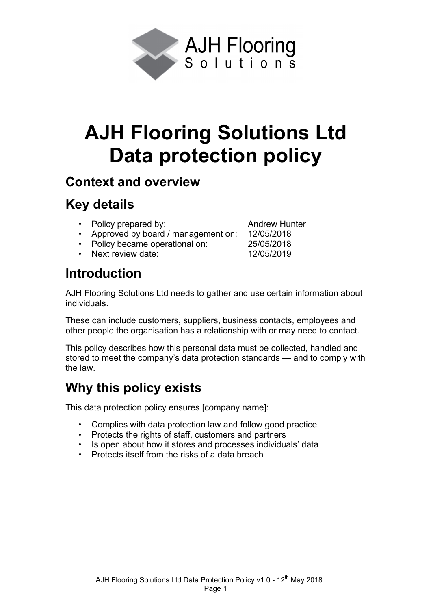

# **AJH Flooring Solutions Ltd Data protection policy**

#### **Context and overview**

# **Key details**

- Policy prepared by: Andrew Hunter
- Approved by board / management on: 12/05/2018
- Policy became operational on: 25/05/2018
- Next review date: 12/05/2019

## **Introduction**

AJH Flooring Solutions Ltd needs to gather and use certain information about individuals.

These can include customers, suppliers, business contacts, employees and other people the organisation has a relationship with or may need to contact.

This policy describes how this personal data must be collected, handled and stored to meet the company's data protection standards — and to comply with the law.

# **Why this policy exists**

This data protection policy ensures [company name]:

- Complies with data protection law and follow good practice
- Protects the rights of staff, customers and partners
- Is open about how it stores and processes individuals' data
- Protects itself from the risks of a data breach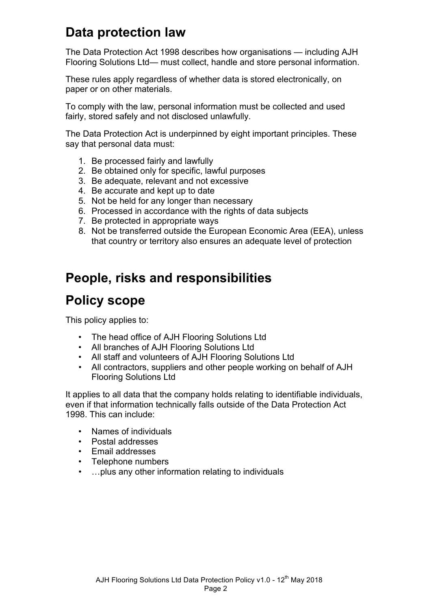## **Data protection law**

The Data Protection Act 1998 describes how organisations — including AJH Flooring Solutions Ltd— must collect, handle and store personal information.

These rules apply regardless of whether data is stored electronically, on paper or on other materials.

To comply with the law, personal information must be collected and used fairly, stored safely and not disclosed unlawfully.

The Data Protection Act is underpinned by eight important principles. These say that personal data must:

- 1. Be processed fairly and lawfully
- 2. Be obtained only for specific, lawful purposes
- 3. Be adequate, relevant and not excessive
- 4. Be accurate and kept up to date
- 5. Not be held for any longer than necessary
- 6. Processed in accordance with the rights of data subjects
- 7. Be protected in appropriate ways
- 8. Not be transferred outside the European Economic Area (EEA), unless that country or territory also ensures an adequate level of protection

#### **People, risks and responsibilities**

#### **Policy scope**

This policy applies to:

- The head office of AJH Flooring Solutions Ltd
- All branches of AJH Flooring Solutions Ltd
- All staff and volunteers of AJH Flooring Solutions Ltd
- All contractors, suppliers and other people working on behalf of AJH Flooring Solutions Ltd

It applies to all data that the company holds relating to identifiable individuals, even if that information technically falls outside of the Data Protection Act 1998. This can include:

- Names of individuals
- Postal addresses
- Email addresses
- Telephone numbers
- …plus any other information relating to individuals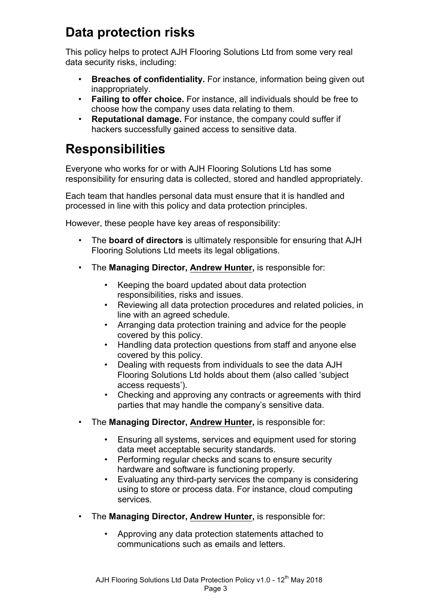# **Data protection risks**

This policy helps to protect AJH Flooring Solutions Ltd from some very real data security risks, including:

- **Breaches of confidentiality.** For instance, information being given out inappropriately.
- **Failing to offer choice.** For instance, all individuals should be free to choose how the company uses data relating to them.
- **Reputational damage.** For instance, the company could suffer if hackers successfully gained access to sensitive data.

# **Responsibilities**

Everyone who works for or with AJH Flooring Solutions Ltd has some responsibility for ensuring data is collected, stored and handled appropriately.

Each team that handles personal data must ensure that it is handled and processed in line with this policy and data protection principles.

However, these people have key areas of responsibility:

- The **board of directors** is ultimately responsible for ensuring that AJH Flooring Solutions Ltd meets its legal obligations.
- The **Managing Director, Andrew Hunter,** is responsible for:
	- Keeping the board updated about data protection responsibilities, risks and issues.
	- Reviewing all data protection procedures and related policies, in line with an agreed schedule.
	- Arranging data protection training and advice for the people covered by this policy.
	- Handling data protection questions from staff and anyone else covered by this policy.
	- Dealing with requests from individuals to see the data AJH Flooring Solutions Ltd holds about them (also called 'subject access requests').
	- Checking and approving any contracts or agreements with third parties that may handle the company's sensitive data.
- The **Managing Director, Andrew Hunter,** is responsible for:
	- Ensuring all systems, services and equipment used for storing data meet acceptable security standards.
	- Performing regular checks and scans to ensure security hardware and software is functioning properly.
	- Evaluating any third-party services the company is considering using to store or process data. For instance, cloud computing services.
- The **Managing Director, Andrew Hunter,** is responsible for:
	- Approving any data protection statements attached to communications such as emails and letters.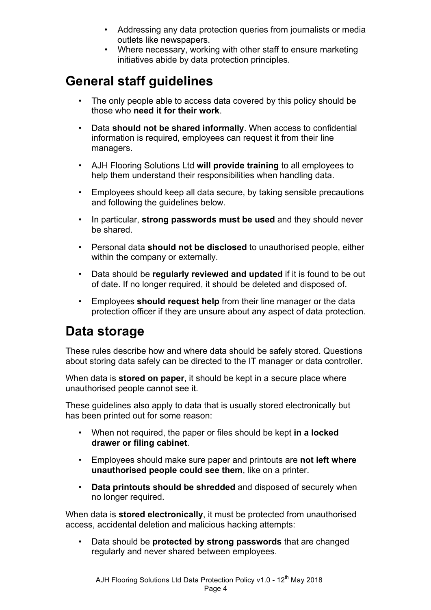- Addressing any data protection queries from journalists or media outlets like newspapers.
- Where necessary, working with other staff to ensure marketing initiatives abide by data protection principles.

# **General staff guidelines**

- The only people able to access data covered by this policy should be those who **need it for their work**.
- Data **should not be shared informally**. When access to confidential information is required, employees can request it from their line managers.
- AJH Flooring Solutions Ltd **will provide training** to all employees to help them understand their responsibilities when handling data.
- Employees should keep all data secure, by taking sensible precautions and following the guidelines below.
- In particular, **strong passwords must be used** and they should never be shared.
- Personal data **should not be disclosed** to unauthorised people, either within the company or externally.
- Data should be **regularly reviewed and updated** if it is found to be out of date. If no longer required, it should be deleted and disposed of.
- Employees **should request help** from their line manager or the data protection officer if they are unsure about any aspect of data protection.

#### **Data storage**

These rules describe how and where data should be safely stored. Questions about storing data safely can be directed to the IT manager or data controller.

When data is **stored on paper,** it should be kept in a secure place where unauthorised people cannot see it.

These guidelines also apply to data that is usually stored electronically but has been printed out for some reason:

- When not required, the paper or files should be kept **in a locked drawer or filing cabinet**.
- Employees should make sure paper and printouts are **not left where unauthorised people could see them**, like on a printer.
- **Data printouts should be shredded** and disposed of securely when no longer required.

When data is **stored electronically**, it must be protected from unauthorised access, accidental deletion and malicious hacking attempts:

• Data should be **protected by strong passwords** that are changed regularly and never shared between employees.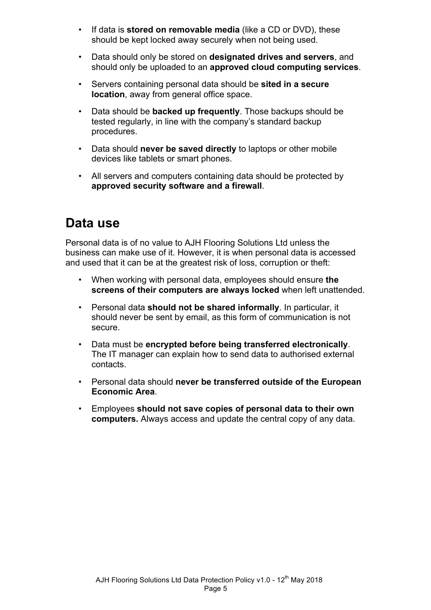- If data is **stored on removable media** (like a CD or DVD), these should be kept locked away securely when not being used.
- Data should only be stored on **designated drives and servers**, and should only be uploaded to an **approved cloud computing services**.
- Servers containing personal data should be **sited in a secure location**, away from general office space.
- Data should be **backed up frequently**. Those backups should be tested regularly, in line with the company's standard backup procedures.
- Data should **never be saved directly** to laptops or other mobile devices like tablets or smart phones.
- All servers and computers containing data should be protected by **approved security software and a firewall**.

#### **Data use**

Personal data is of no value to AJH Flooring Solutions Ltd unless the business can make use of it. However, it is when personal data is accessed and used that it can be at the greatest risk of loss, corruption or theft:

- When working with personal data, employees should ensure **the screens of their computers are always locked** when left unattended.
- Personal data **should not be shared informally**. In particular, it should never be sent by email, as this form of communication is not secure.
- Data must be **encrypted before being transferred electronically**. The IT manager can explain how to send data to authorised external contacts.
- Personal data should **never be transferred outside of the European Economic Area**.
- Employees **should not save copies of personal data to their own computers.** Always access and update the central copy of any data.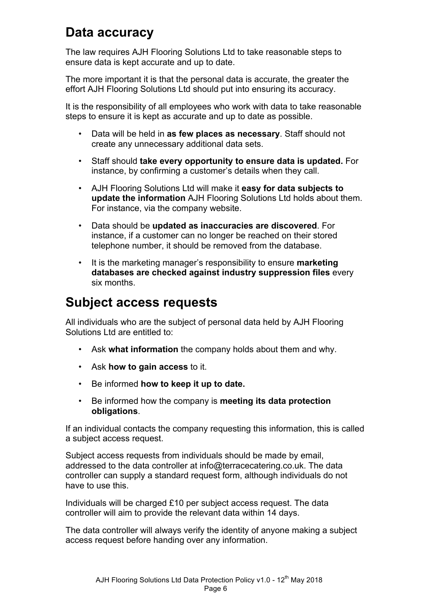#### **Data accuracy**

The law requires AJH Flooring Solutions Ltd to take reasonable steps to ensure data is kept accurate and up to date.

The more important it is that the personal data is accurate, the greater the effort AJH Flooring Solutions Ltd should put into ensuring its accuracy.

It is the responsibility of all employees who work with data to take reasonable steps to ensure it is kept as accurate and up to date as possible.

- Data will be held in **as few places as necessary**. Staff should not create any unnecessary additional data sets.
- Staff should **take every opportunity to ensure data is updated.** For instance, by confirming a customer's details when they call.
- AJH Flooring Solutions Ltd will make it **easy for data subjects to update the information** AJH Flooring Solutions Ltd holds about them. For instance, via the company website.
- Data should be **updated as inaccuracies are discovered**. For instance, if a customer can no longer be reached on their stored telephone number, it should be removed from the database.
- It is the marketing manager's responsibility to ensure **marketing databases are checked against industry suppression files** every six months.

## **Subject access requests**

All individuals who are the subject of personal data held by AJH Flooring Solutions Ltd are entitled to:

- Ask **what information** the company holds about them and why.
- Ask **how to gain access** to it.
- Be informed **how to keep it up to date.**
- Be informed how the company is **meeting its data protection obligations**.

If an individual contacts the company requesting this information, this is called a subject access request.

Subject access requests from individuals should be made by email, addressed to the data controller at info@terracecatering.co.uk. The data controller can supply a standard request form, although individuals do not have to use this.

Individuals will be charged £10 per subject access request. The data controller will aim to provide the relevant data within 14 days.

The data controller will always verify the identity of anyone making a subject access request before handing over any information.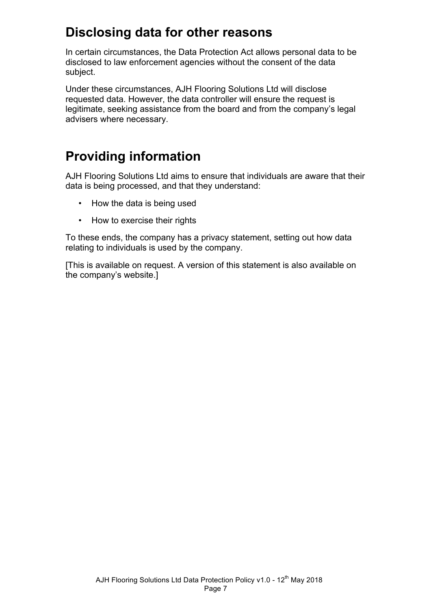## **Disclosing data for other reasons**

In certain circumstances, the Data Protection Act allows personal data to be disclosed to law enforcement agencies without the consent of the data subject.

Under these circumstances, AJH Flooring Solutions Ltd will disclose requested data. However, the data controller will ensure the request is legitimate, seeking assistance from the board and from the company's legal advisers where necessary.

# **Providing information**

AJH Flooring Solutions Ltd aims to ensure that individuals are aware that their data is being processed, and that they understand:

- How the data is being used
- How to exercise their rights

To these ends, the company has a privacy statement, setting out how data relating to individuals is used by the company.

[This is available on request. A version of this statement is also available on the company's website.]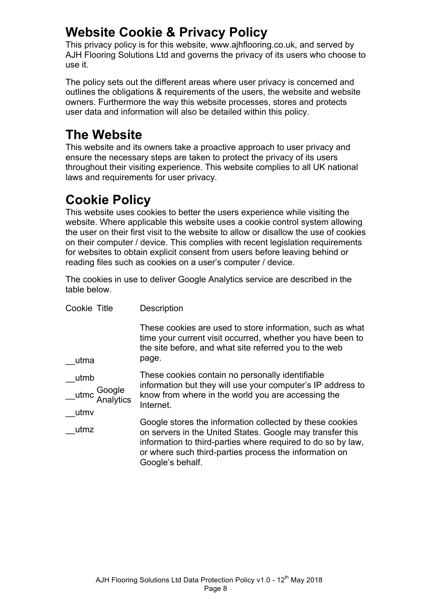## **Website Cookie & Privacy Policy**

This privacy policy is for this website, www.ajhflooring.co.uk, and served by AJH Flooring Solutions Ltd and governs the privacy of its users who choose to use it.

The policy sets out the different areas where user privacy is concerned and outlines the obligations & requirements of the users, the website and website owners. Furthermore the way this website processes, stores and protects user data and information will also be detailed within this policy.

# **The Website**

This website and its owners take a proactive approach to user privacy and ensure the necessary steps are taken to protect the privacy of its users throughout their visiting experience. This website complies to all UK national laws and requirements for user privacy.

# **Cookie Policy**

This website uses cookies to better the users experience while visiting the website. Where applicable this website uses a cookie control system allowing the user on their first visit to the website to allow or disallow the use of cookies on their computer / device. This complies with recent legislation requirements for websites to obtain explicit consent from users before leaving behind or reading files such as cookies on a user's computer / device.

The cookies in use to deliver Google Analytics service are described in the table below.

| Cookie Title                                | Description                                                                                                                                                                                                                                                         |
|---------------------------------------------|---------------------------------------------------------------------------------------------------------------------------------------------------------------------------------------------------------------------------------------------------------------------|
| utma                                        | These cookies are used to store information, such as what<br>time your current visit occurred, whether you have been to<br>the site before, and what site referred you to the web<br>page.                                                                          |
| utmb<br>Google<br>utmc<br>Analytics<br>utmv | These cookies contain no personally identifiable<br>information but they will use your computer's IP address to<br>know from where in the world you are accessing the<br>Internet.                                                                                  |
| utmz                                        | Google stores the information collected by these cookies<br>on servers in the United States. Google may transfer this<br>information to third-parties where required to do so by law,<br>or where such third-parties process the information on<br>Google's behalf. |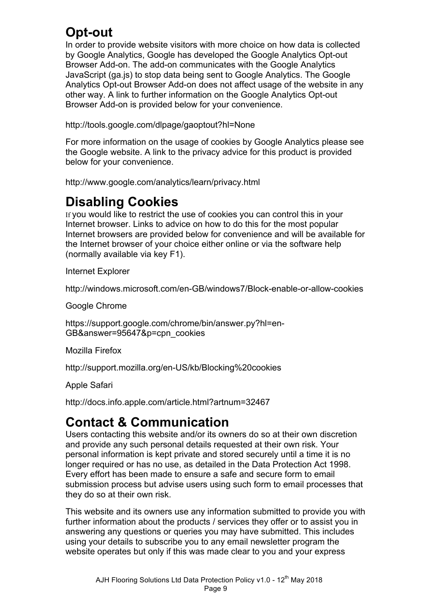# **Opt-out**

In order to provide website visitors with more choice on how data is collected by Google Analytics, Google has developed the Google Analytics Opt-out Browser Add-on. The add-on communicates with the Google Analytics JavaScript (ga.js) to stop data being sent to Google Analytics. The Google Analytics Opt-out Browser Add-on does not affect usage of the website in any other way. A link to further information on the Google Analytics Opt-out Browser Add-on is provided below for your convenience.

<http://tools.google.com/dlpage/gaoptout?hl=None>

For more information on the usage of cookies by Google Analytics please see the Google website. A link to the privacy advice for this product is provided below for your convenience.

<http://www.google.com/analytics/learn/privacy.html>

## **Disabling Cookies**

If you would like to restrict the use of cookies you can control this in your Internet browser. Links to advice on how to do this for the most popular Internet browsers are provided below for convenience and will be available for the Internet browser of your choice either online or via the software help (normally available via key F1).

Internet Explorer

<http://windows.microsoft.com/en-GB/windows7/Block-enable-or-allow-cookies>

Google Chrome

[https://support.google.com/chrome/bin/answer.py?hl=en](https://support.google.com/chrome/bin/answer.py?hl=en-GB&answer=95647&p=cpn_cookies)-[GB&answer=95647&p=cpn\\_cookies](https://support.google.com/chrome/bin/answer.py?hl=en-GB&answer=95647&p=cpn_cookies)

Mozilla Firefox

[http://support.mozilla.org/en-US/kb/Blocking%20cookies](http://support.mozilla.org/en-US/kb/Blocking cookies)

Apple Safari

<http://docs.info.apple.com/article.html?artnum=32467>

# **Contact & Communication**

Users contacting this website and/or its owners do so at their own discretion and provide any such personal details requested at their own risk. Your personal information is kept private and stored securely until a time it is no longer required or has no use, as detailed in the Data Protection Act 1998. Every effort has been made to ensure a safe and secure form to email submission process but advise users using such form to email processes that they do so at their own risk.

This website and its owners use any information submitted to provide you with further information about the products / services they offer or to assist you in answering any questions or queries you may have submitted. This includes using your details to subscribe you to any email newsletter program the website operates but only if this was made clear to you and your express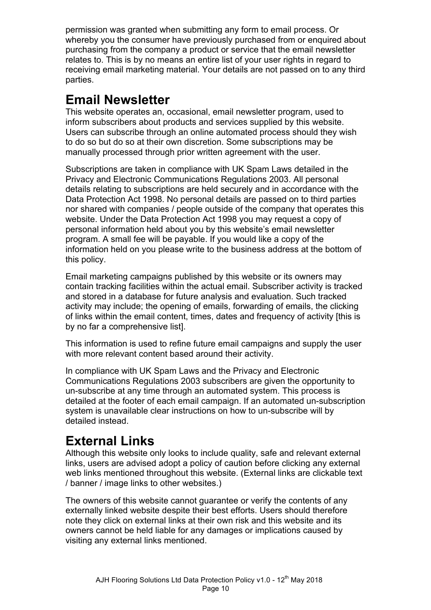permission was granted when submitting any form to email process. Or whereby you the consumer have previously purchased from or enquired about purchasing from the company a product or service that the email newsletter relates to. This is by no means an entire list of your user rights in regard to receiving email marketing material. Your details are not passed on to any third parties.

## **Email Newsletter**

This website operates an, occasional, email newsletter program, used to inform subscribers about products and services supplied by this website. Users can subscribe through an online automated process should they wish to do so but do so at their own discretion. Some subscriptions may be manually processed through prior written agreement with the user.

Subscriptions are taken in compliance with UK Spam Laws detailed in the Privacy and Electronic Communications Regulations 2003. All personal details relating to subscriptions are held securely and in accordance with the Data Protection Act 1998. No personal details are passed on to third parties nor shared with companies / people outside of the company that operates this website. Under the Data Protection Act 1998 you may request a copy of personal information held about you by this website's email newsletter program. A small fee will be payable. If you would like a copy of the information held on you please write to the business address at the bottom of this policy.

Email marketing campaigns published by this website or its owners may contain tracking facilities within the actual email. Subscriber activity is tracked and stored in a database for future analysis and evaluation. Such tracked activity may include; the opening of emails, forwarding of emails, the clicking of links within the email content, times, dates and frequency of activity [this is by no far a comprehensive list].

This information is used to refine future email campaigns and supply the user with more relevant content based around their activity.

In compliance with UK Spam Laws and the Privacy and Electronic Communications Regulations 2003 subscribers are given the opportunity to un-subscribe at any time through an automated system. This process is detailed at the footer of each email campaign. If an automated un-subscription system is unavailable clear instructions on how to un-subscribe will by detailed instead.

# **External Links**

Although this website only looks to include quality, safe and relevant external links, users are advised adopt a policy of caution before clicking any external web links mentioned throughout this website. (External links are clickable text / banner / image links to other websites.)

The owners of this website cannot guarantee or verify the contents of any externally linked website despite their best efforts. Users should therefore note they click on external links at their own risk and this website and its owners cannot be held liable for any damages or implications caused by visiting any external links mentioned.